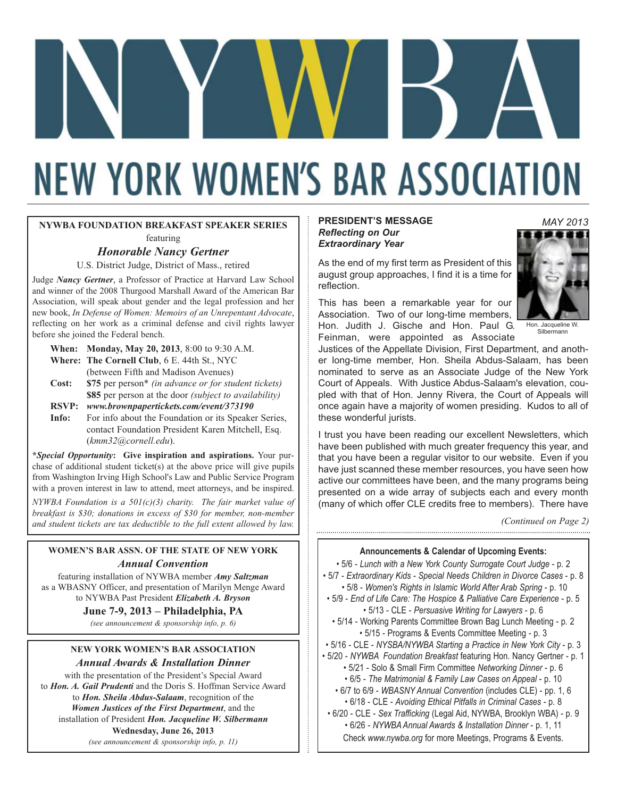# **NEW YORK WOMEN'S BAR ASSOCIATION**

#### **NYWBA FOUNDATION BREAKFAST SPEAKER SERIES** featuring

#### *Honorable Nancy Gertner*

U.S. District Judge, District of Mass., retired

Judge *Nancy Gertner*, a Professor of Practice at Harvard Law School and winner of the 2008 Thurgood Marshall Award of the American Bar Association, will speak about gender and the legal profession and her new book, *In Defense of Women: Memoirs of an Unrepentant Advocate*, reflecting on her work as a criminal defense and civil rights lawyer before she joined the Federal bench.

|       | <b>When:</b> Monday, May 20, 2013, 8:00 to 9:30 A.M. |
|-------|------------------------------------------------------|
|       | <b>Where: The Cornell Club, 6 E. 44th St., NYC</b>   |
|       | (between Fifth and Madison Avenues)                  |
| Cost: | \$75 per person* (in advance or for student tic      |

- **Cost: \$75** per person\* *(in advance or for student tickets)* **\$85** per person at the door *(subject to availability)*
- **RSVP:** *www.brownpapertickets.com/event/373190*
- **Info:** For info about the Foundation or its Speaker Series, contact Foundation President Karen Mitchell, Esq. (*kmm32@cornell.edu*).

**\****Special Opportunity***: Give inspiration and aspirations.** Your purchase of additional student ticket(s) at the above price will give pupils from Washington Irving High School's Law and Public Service Program with a proven interest in law to attend, meet attorneys, and be inspired.

*NYWBA Foundation is a 501(c)(3) charity. The fair market value of breakfast is \$30; donations in excess of \$30 for member, non-member and student tickets are tax deductible to the full extent allowed by law.*

#### **WOMEN'S BAR ASSN. OF THE STATE OF NEW YORK** *Annual Convention*

featuring installation of NYWBA member *Amy Saltzman*  as a WBASNY Officer, and presentation of Marilyn Menge Award to NYWBA Past President *Elizabeth A. Bryson*  **June 7-9, 2013 – Philadelphia, PA**

*(see announcement & sponsorship info, p. 6)*

#### **NEW YORK WOMEN'S BAR ASSOCIATION** *Annual Awards & Installation Dinner*

with the presentation of the President's Special Award to *Hon. A. Gail Prudenti* and the Doris S. Hoffman Service Award to *Hon. Sheila Abdus-Salaam*, recognition of the *Women Justices of the First Department*, and the installation of President *Hon. Jacqueline W. Silbermann* 

#### **Wednesday, June 26, 2013**

*(see announcement & sponsorship info, p. 11)*

#### **PRESIDENT'S MESSAGE** *Reflecting on Our Extraordinary Year*

*MAY 2013*

As the end of my first term as President of this august group approaches, I find it is a time for reflection.

This has been a remarkable year for our Association. Two of our long-time members, Hon. Judith J. Gische and Hon. Paul G. Feinman, were appointed as Associate



Hon. Jacqueline W. Silbermann

Justices of the Appellate Division, First Department, and another long-time member, Hon. Sheila Abdus-Salaam, has been nominated to serve as an Associate Judge of the New York Court of Appeals. With Justice Abdus-Salaam's elevation, coupled with that of Hon. Jenny Rivera, the Court of Appeals will once again have a majority of women presiding. Kudos to all of these wonderful jurists.

I trust you have been reading our excellent Newsletters, which have been published with much greater frequency this year, and that you have been a regular visitor to our website. Even if you have just scanned these member resources, you have seen how active our committees have been, and the many programs being presented on a wide array of subjects each and every month (many of which offer CLE credits free to members). There have

*(Continued on Page 2)* 

**Announcements & Calendar of Upcoming Events:** • 5/6 - *Lunch with a New York County Surrogate Court Judge* - p. 2 • 5/7 - *Extraordinary Kids - Special Needs Children in Divorce Cases* - p. 8 • 5/8 - *Women's Rights in Islamic World After Arab Spring* - p. 10 • 5/9 - *End of Life Care: The Hospice & Palliative Care Experience* - p. 5 • 5/13 - CLE - *Persuasive Writing for Lawyers* - p. 6 • 5/14 - Working Parents Committee Brown Bag Lunch Meeting - p. 2 • 5/15 - Programs & Events Committee Meeting - p. 3 • 5/16 - CLE - *NYSBA/NYWBA Starting a Practice in New York City* - p. 3 • 5/20 - *NYWBA Foundation Breakfast* featuring Hon. Nancy Gertner - p. 1 • 5/21 - Solo & Small Firm Committee *Networking Dinner* - p. 6 • 6/5 - *The Matrimonial & Family Law Cases on Appeal* - p. 10 • 6/7 to 6/9 - *WBASNY Annual Convention* (includes CLE) - pp. 1, 6 • 6/18 - CLE - *Avoiding Ethical Pitfalls in Criminal Cases* - p. 8 • 6/20 - CLE - *Sex Trafficking* (Legal Aid, NYWBA, Brooklyn WBA) - p. 9 • 6/26 - *NYWBA Annual Awards & Installation Dinner* - p. 1, 11 Check *www.nywba.org* for more Meetings, Programs & Events.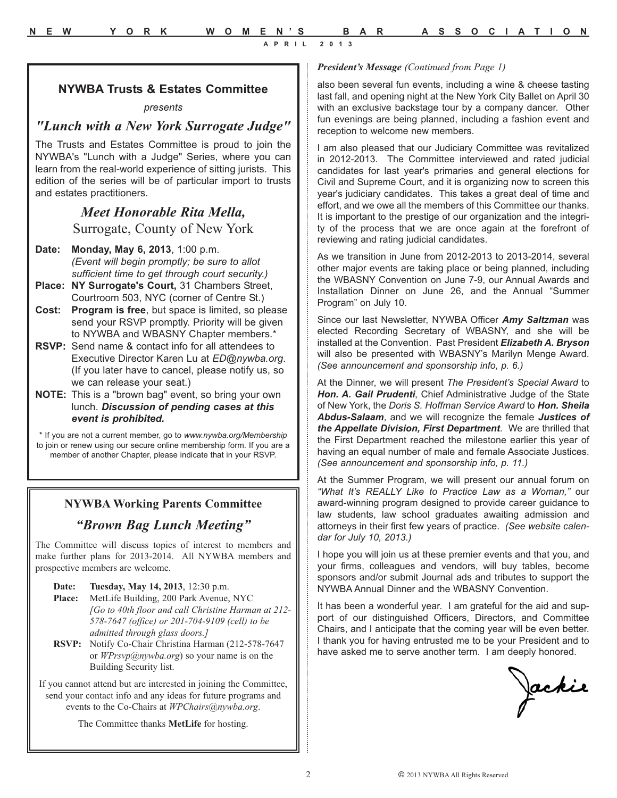**APRIL 2013**

#### **NYWBA Trusts & Estates Committee** *presents*

### *"Lunch with a New York Surrogate Judge"*

The Trusts and Estates Committee is proud to join the NYWBA's "Lunch with a Judge" Series, where you can learn from the real-world experience of sitting jurists. This edition of the series will be of particular import to trusts and estates practitioners.

### *Meet Honorable Rita Mella,*  Surrogate, County of New York

- **Date: Monday, May 6, 2013**, 1:00 p.m. *(Event will begin promptly; be sure to allot sufficient time to get through court security.)*
- **Place: NY Surrogate's Court,** 31 Chambers Street, Courtroom 503, NYC (corner of Centre St.)
- **Cost: Program is free**, but space is limited, so please send your RSVP promptly. Priority will be given to NYWBA and WBASNY Chapter members.\*
- **RSVP:** Send name & contact info for all attendees to Executive Director Karen Lu at *ED@nywba.org*. (If you later have to cancel, please notify us, so we can release your seat.)
- **NOTE:** This is a "brown bag" event, so bring your own lunch. *Discussion of pending cases at this event is prohibited.*

\* If you are not a current member, go to *www.nywba.org/Membership* to join or renew using our secure online membership form. If you are a member of another Chapter, please indicate that in your RSVP.

### **NYWBA Working Parents Committee**

### *"Brown Bag Lunch Meeting"*

The Committee will discuss topics of interest to members and make further plans for 2013-2014. All NYWBA members and prospective members are welcome.

- **Date: Tuesday, May 14, 2013**, 12:30 p.m. **Place:** MetLife Building, 200 Park Avenue, NYC *[Go to 40th floor and call Christine Harman at 212- 578-7647 (office) or 201-704-9109 (cell) to be admitted through glass doors.]*
- **RSVP:** Notify Co-Chair Christina Harman (212-578-7647 or *WPrsvp@nywba.org*) so your name is on the Building Security list.

If you cannot attend but are interested in joining the Committee, send your contact info and any ideas for future programs and events to the Co-Chairs at *WPChairs@nywba.org*.

The Committee thanks **MetLife** for hosting.

#### *President's Message (Continued from Page 1)*

also been several fun events, including a wine & cheese tasting last fall, and opening night at the New York City Ballet on April 30 with an exclusive backstage tour by a company dancer. Other fun evenings are being planned, including a fashion event and reception to welcome new members.

I am also pleased that our Judiciary Committee was revitalized in 2012-2013. The Committee interviewed and rated judicial candidates for last year's primaries and general elections for Civil and Supreme Court, and it is organizing now to screen this year's judiciary candidates. This takes a great deal of time and effort, and we owe all the members of this Committee our thanks. It is important to the prestige of our organization and the integrity of the process that we are once again at the forefront of reviewing and rating judicial candidates.

As we transition in June from 2012-2013 to 2013-2014, several other major events are taking place or being planned, including the WBASNY Convention on June 7-9, our Annual Awards and Installation Dinner on June 26, and the Annual "Summer Program" on July 10.

Since our last Newsletter, NYWBA Officer *Amy Saltzman* was elected Recording Secretary of WBASNY, and she will be installed at the Convention. Past President *Elizabeth A. Bryson* will also be presented with WBASNY's Marilyn Menge Award. *(See announcement and sponsorship info, p. 6.)*

At the Dinner, we will present *The President's Special Award* to *Hon. A. Gail Prudenti*, Chief Administrative Judge of the State of New York, the *Doris S. Hoffman Service Award* to *Hon. Sheila Abdus-Salaam*, and we will recognize the female *Justices of the Appellate Division, First Department*. We are thrilled that the First Department reached the milestone earlier this year of having an equal number of male and female Associate Justices. *(See announcement and sponsorship info, p. 11.)* 

At the Summer Program, we will present our annual forum on *"What It's REALLY Like to Practice Law as a Woman,"* our award-winning program designed to provide career guidance to law students, law school graduates awaiting admission and attorneys in their first few years of practice. *(See website calendar for July 10, 2013.)* 

I hope you will join us at these premier events and that you, and your firms, colleagues and vendors, will buy tables, become sponsors and/or submit Journal ads and tributes to support the NYWBA Annual Dinner and the WBASNY Convention.

It has been a wonderful year. I am grateful for the aid and support of our distinguished Officers, Directors, and Committee Chairs, and I anticipate that the coming year will be even better. I thank you for having entrusted me to be your President and to have asked me to serve another term. I am deeply honored.

Jackie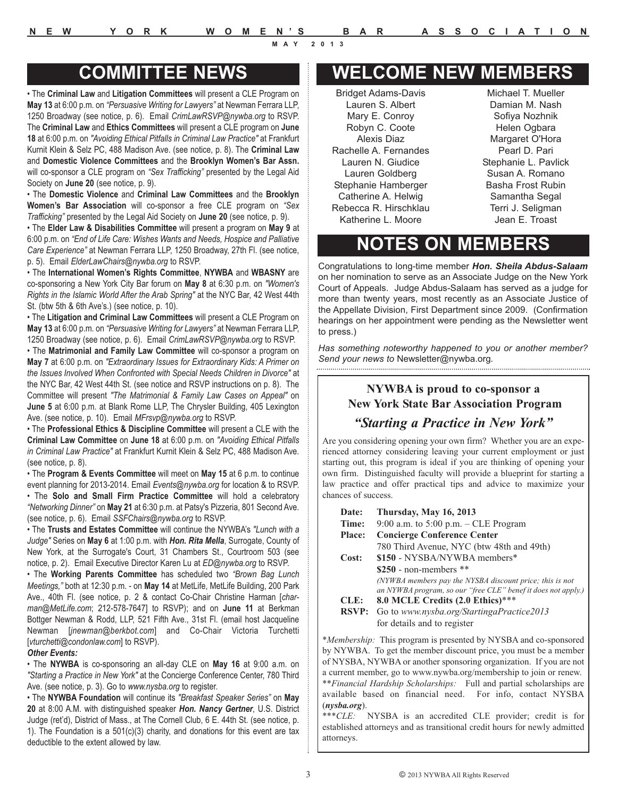• The **Criminal Law** and **Litigation Committees** will present a CLE Program on **May 13** at 6:00 p.m. on *"Persuasive Writing for Lawyers"* at Newman Ferrara LLP, 1250 Broadway (see notice, p. 6). Email *CrimLawRSVP@nywba.org* to RSVP. The **Criminal Law** and **Ethics Committees** will present a CLE program on **June 18** at 6:00 p.m. on *"Avoiding Ethical Pitfalls in Criminal Law Practice"* at Frankfurt Kurnit Klein & Selz PC, 488 Madison Ave. (see notice, p. 8). The **Criminal Law** and **Domestic Violence Committees** and the **Brooklyn Women's Bar Assn.** will co-sponsor a CLE program on *"Sex Trafficking"* presented by the Legal Aid Society on **June 20** (see notice, p. 9).

• The **Domestic Violence** and **Criminal Law Committees** and the **Brooklyn Women's Bar Association** will co-sponsor a free CLE program on *"Sex Trafficking"* presented by the Legal Aid Society on **June 20** (see notice, p. 9).

• The **Elder Law & Disabilities Committee** will present a program on **May 9** at 6:00 p.m. on *"End of Life Care: Wishes Wants and Needs, Hospice and Palliative Care Experience"* at Newman Ferrara LLP, 1250 Broadway, 27th Fl. (see notice, p. 5). Email *ElderLawChairs@nywba.org* to RSVP.

• The **International Women's Rights Committee**, **NYWBA** and **WBASNY** are co-sponsoring a New York City Bar forum on **May 8** at 6:30 p.m. on *"Women's Rights in the Islamic World After the Arab Spring"* at the NYC Bar, 42 West 44th St. (btw 5th & 6th Ave's.) (see notice, p. 10).

• The **Litigation and Criminal Law Committees** will present a CLE Program on **May 13** at 6:00 p.m. on *"Persuasive Writing for Lawyers"* at Newman Ferrara LLP, 1250 Broadway (see notice, p. 6). Email *CrimLawRSVP@nywba.org* to RSVP.

• The **Matrimonial and Family Law Committee** will co-sponsor a program on **May 7** at 6:00 p.m. on *"Extraordinary Issues for Extraordinary Kids: A Primer on the Issues Involved When Confronted with Special Needs Children in Divorce"* at the NYC Bar, 42 West 44th St. (see notice and RSVP instructions on p. 8). The Committee will present *"The Matrimonial & Family Law Cases on Appeal"* on **June 5** at 6:00 p.m. at Blank Rome LLP, The Chrysler Building, 405 Lexington Ave. (see notice, p. 10). Email *MFrsvp@nywba.org* to RSVP.

• The **Professional Ethics & Discipline Committee** will present a CLE with the **Criminal Law Committee** on **June 18** at 6:00 p.m. on *"Avoiding Ethical Pitfalls in Criminal Law Practice"* at Frankfurt Kurnit Klein & Selz PC, 488 Madison Ave. (see notice, p. 8).

• The **Program & Events Committee** will meet on **May 15** at 6 p.m. to continue event planning for 2013-2014. Email *Events@nywba.org* for location & to RSVP. • The **Solo and Small Firm Practice Committee** will hold a celebratory *"Networking Dinner"* on **May 21** at 6:30 p.m. at Patsy's Pizzeria, 801 Second Ave. (see notice, p. 6). Email *SSFChairs@nywba.org* to RSVP.

• The **Trusts and Estates Committee** will continue the NYWBA's *"Lunch with a Judge"* Series on **May 6** at 1:00 p.m. with *Hon. Rita Mella*, Surrogate, County of New York, at the Surrogate's Court, 31 Chambers St., Courtroom 503 (see notice, p. 2). Email Executive Director Karen Lu at *ED@nywba.org* to RSVP.

• The **Working Parents Committee** has scheduled two *"Brown Bag Lunch Meetings,"* both at 12:30 p.m. - on **May 14** at MetLife, MetLife Building, 200 Park Ave., 40th Fl. (see notice, p. 2 & contact Co-Chair Christine Harman [*charman@MetLife.com*; 212-578-7647] to RSVP); and on **June 11** at Berkman Bottger Newman & Rodd, LLP, 521 Fifth Ave., 31st Fl. (email host Jacqueline Newman [*jnewman@berkbot.com*] and Co-Chair Victoria Turchetti [*vturchetti@condonlaw.com*] to RSVP).

#### *Other Events:*

• The **NYWBA** is co-sponsoring an all-day CLE on **May 16** at 9:00 a.m. on *"Starting a Practice in New York"* at the Concierge Conference Center, 780 Third Ave. (see notice, p. 3). Go to *www.nysba.org* to register.

• The **NYWBA Foundation** will continue its *"Breakfast Speaker Series"* on **May 20** at 8:00 A.M. with distinguished speaker *Hon. Nancy Gertner*, U.S. District Judge (ret'd), District of Mass., at The Cornell Club, 6 E. 44th St. (see notice, p. 1). The Foundation is a 501(c)(3) charity, and donations for this event are tax deductible to the extent allowed by law.

### **COMMITTEE NEWS WELCOME NEW MEMBERS**

Bridget Adams-Davis Lauren S. Albert Mary E. Conroy Robyn C. Coote Alexis Diaz Rachelle A. Fernandes Lauren N. Giudice Lauren Goldberg Stephanie Hamberger Catherine A. Helwig Rebecca R. Hirschklau Katherine L. Moore

Michael T. Mueller Damian M. Nash Sofiya Nozhnik Helen Ogbara Margaret O'Hora Pearl D. Pari Stephanie L. Pavlick Susan A. Romano Basha Frost Rubin Samantha Segal Terri J. Seligman Jean E. Troast

## **NOTES ON MEMBERS**

Congratulations to long-time member *Hon. Sheila Abdus-Salaam* on her nomination to serve as an Associate Judge on the New York Court of Appeals. Judge Abdus-Salaam has served as a judge for more than twenty years, most recently as an Associate Justice of the Appellate Division, First Department since 2009. (Confirmation hearings on her appointment were pending as the Newsletter went to press.)

*Has something noteworthy happened to you or another member? Send your news to* Newsletter@nywba.org*.* 

#### **NYWBA is proud to co-sponsor a New York State Bar Association Program**

#### *"Starting a Practice in New York"*

Are you considering opening your own firm? Whether you are an experienced attorney considering leaving your current employment or just starting out, this program is ideal if you are thinking of opening your own firm. Distinguished faculty will provide a blueprint for starting a law practice and offer practical tips and advice to maximize your chances of success.

| Date:         | Thursday, May 16, 2013                                        |
|---------------|---------------------------------------------------------------|
| Time:         | 9:00 a.m. to 5:00 p.m. $-$ CLE Program                        |
| <b>Place:</b> | <b>Concierge Conference Center</b>                            |
|               | 780 Third Avenue, NYC (btw 48th and 49th)                     |
| Cost:         | \$150 - NYSBA/NYWBA members*                                  |
|               | $$250$ - non-members **                                       |
|               | (NYWBA members pay the NYSBA discount price; this is not      |
|               | an NYWBA program, so our "free CLE" benef it does not apply.) |
| CLE:          | 8.0 MCLE Credits (2.0 Ethics)***                              |
| <b>RSVP:</b>  | Go to www.nysba.org/StartingaPractice2013                     |
|               | for details and to register                                   |

\**Membership:* This program is presented by NYSBA and co-sponsored by NYWBA. To get the member discount price, you must be a member of NYSBA, NYWBA or another sponsoring organization. If you are not a current member, go to www.nywba.org/membership to join or renew. \*\**Financial Hardship Scholarships:* Full and partial scholarships are available based on financial need. For info, contact NYSBA (*nysba.org*).

\*\*\**CLE:* NYSBA is an accredited CLE provider; credit is for established attorneys and as transitional credit hours for newly admitted attorneys.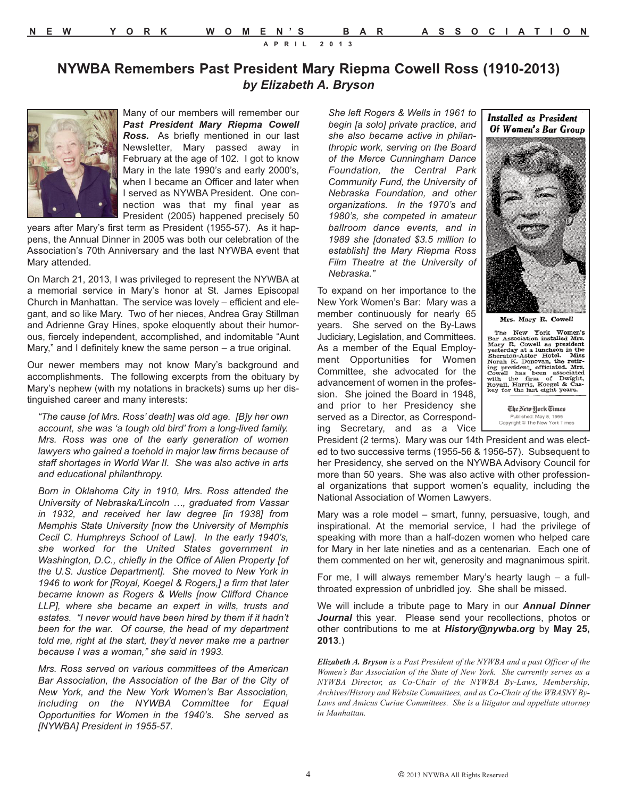**APRIL 2013**

### **NYWBA Remembers Past President Mary Riepma Cowell Ross (1910-2013)** *by Elizabeth A. Bryson*

Many of our members will remember our *Past President Mary Riepma Cowell Ross.* As briefly mentioned in our last Newsletter, Mary passed away in February at the age of 102. I got to know Mary in the late 1990's and early 2000's, when I became an Officer and later when I served as NYWBA President. One connection was that my final year as President (2005) happened precisely 50

years after Mary's first term as President (1955-57). As it happens, the Annual Dinner in 2005 was both our celebration of the Association's 70th Anniversary and the last NYWBA event that Mary attended.

On March 21, 2013, I was privileged to represent the NYWBA at a memorial service in Mary's honor at St. James Episcopal Church in Manhattan. The service was lovely – efficient and elegant, and so like Mary. Two of her nieces, Andrea Gray Stillman and Adrienne Gray Hines, spoke eloquently about their humorous, fiercely independent, accomplished, and indomitable "Aunt Mary," and I definitely knew the same person – a true original.

Our newer members may not know Mary's background and accomplishments. The following excerpts from the obituary by Mary's nephew (with my notations in brackets) sums up her distinguished career and many interests:

*"The cause [of Mrs. Ross' death] was old age. [B]y her own account, she was 'a tough old bird' from a long-lived family. Mrs. Ross was one of the early generation of women lawyers who gained a toehold in major law firms because of staff shortages in World War II. She was also active in arts and educational philanthropy.*

*Born in Oklahoma City in 1910, Mrs. Ross attended the University of Nebraska/Lincoln …, graduated from Vassar in 1932, and received her law degree [in 1938] from Memphis State University [now the University of Memphis Cecil C. Humphreys School of Law]. In the early 1940's, she worked for the United States government in Washington, D.C., chiefly in the Office of Alien Property [of the U.S. Justice Department]. She moved to New York in 1946 to work for [Royal, Koegel & Rogers,] a firm that later became known as Rogers & Wells [now Clifford Chance LLP], where she became an expert in wills, trusts and estates. "I never would have been hired by them if it hadn't been for the war. Of course, the head of my department told me, right at the start, they'd never make me a partner because I was a woman," she said in 1993.*

*Mrs. Ross served on various committees of the American Bar Association, the Association of the Bar of the City of New York, and the New York Women's Bar Association, including on the NYWBA Committee for Equal Opportunities for Women in the 1940's. She served as [NYWBA] President in 1955-57.*

*She left Rogers & Wells in 1961 to begin [a solo] private practice, and she also became active in philanthropic work, serving on the Board of the Merce Cunningham Dance Foundation, the Central Park Community Fund, the University of Nebraska Foundation, and other organizations. In the 1970's and 1980's, she competed in amateur ballroom dance events, and in 1989 she [donated \$3.5 million to establish] the Mary Riepma Ross Film Theatre at the University of Nebraska."* 

To expand on her importance to the New York Women's Bar: Mary was a member continuously for nearly 65 years. She served on the By-Laws Judiciary, Legislation, and Committees. As a member of the Equal Employment Opportunities for Women Committee, she advocated for the advancement of women in the profession. She joined the Board in 1948, and prior to her Presidency she served as a Director, as Corresponding Secretary, and as a Vice





Mrs. Mary R. Cowell

The New York Women's Bar Association installed Mrs. Mary R. Cowell as president yesterday at a luncheon in the Sheraton-Astor Hotel. Miss Noronal the firm of president, officiated Mrs. Cowell has been associated with the

The New York Times Published: May 8, 1955<br>Copyright © The New York Times

President (2 terms). Mary was our 14th President and was elected to two successive terms (1955-56 & 1956-57). Subsequent to her Presidency, she served on the NYWBA Advisory Council for more than 50 years. She was also active with other professional organizations that support women's equality, including the National Association of Women Lawyers.

Mary was a role model – smart, funny, persuasive, tough, and inspirational. At the memorial service, I had the privilege of speaking with more than a half-dozen women who helped care for Mary in her late nineties and as a centenarian. Each one of them commented on her wit, generosity and magnanimous spirit.

For me, I will always remember Mary's hearty laugh – a fullthroated expression of unbridled joy. She shall be missed.

We will include a tribute page to Mary in our *Annual Dinner* Journal this year. Please send your recollections, photos or other contributions to me at *History@nywba.org* by **May 25, 2013**.)

*Elizabeth A. Bryson is a Past President of the NYWBA and a past Officer of the Women's Bar Association of the State of New York. She currently serves as a NYWBA Director, as Co-Chair of the NYWBA By-Laws, Membership, Archives/History and Website Committees, and as Co-Chair of the WBASNY By-Laws and Amicus Curiae Committees. She is a litigator and appellate attorney in Manhattan.*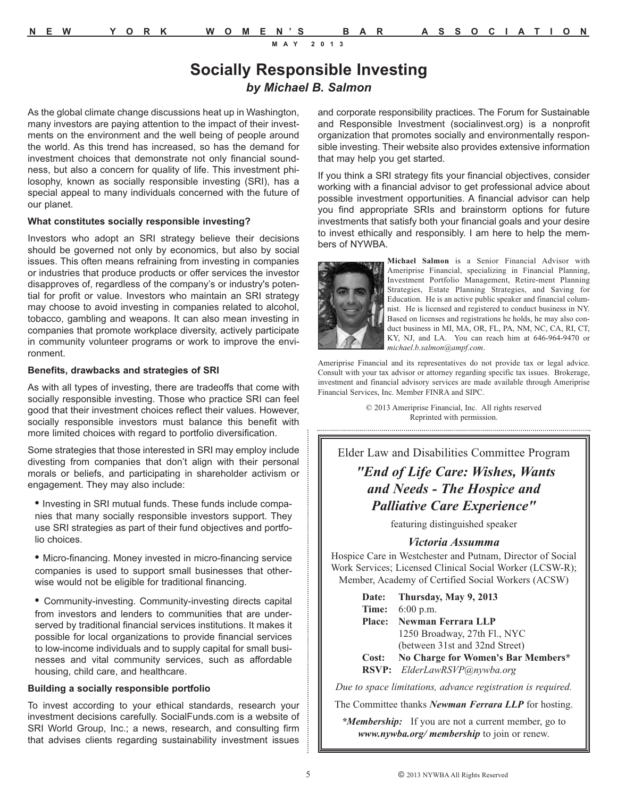### **Socially Responsible Investing** *by Michael B. Salmon*

As the global climate change discussions heat up in Washington, many investors are paying attention to the impact of their investments on the environment and the well being of people around the world. As this trend has increased, so has the demand for investment choices that demonstrate not only financial soundness, but also a concern for quality of life. This investment philosophy, known as socially responsible investing (SRI), has a special appeal to many individuals concerned with the future of our planet.

#### **What constitutes socially responsible investing?**

Investors who adopt an SRI strategy believe their decisions should be governed not only by economics, but also by social issues. This often means refraining from investing in companies or industries that produce products or offer services the investor disapproves of, regardless of the company's or industry's potential for profit or value. Investors who maintain an SRI strategy may choose to avoid investing in companies related to alcohol, tobacco, gambling and weapons. It can also mean investing in companies that promote workplace diversity, actively participate in community volunteer programs or work to improve the environment.

#### **Benefits, drawbacks and strategies of SRI**

As with all types of investing, there are tradeoffs that come with socially responsible investing. Those who practice SRI can feel good that their investment choices reflect their values. However, socially responsible investors must balance this benefit with more limited choices with regard to portfolio diversification.

Some strategies that those interested in SRI may employ include divesting from companies that don't align with their personal morals or beliefs, and participating in shareholder activism or engagement. They may also include:

**•** Investing in SRI mutual funds. These funds include companies that many socially responsible investors support. They use SRI strategies as part of their fund objectives and portfolio choices.

**•** Micro-financing. Money invested in micro-financing service companies is used to support small businesses that otherwise would not be eligible for traditional financing.

**•** Community-investing. Community-investing directs capital from investors and lenders to communities that are underserved by traditional financial services institutions. It makes it possible for local organizations to provide financial services to low-income individuals and to supply capital for small businesses and vital community services, such as affordable housing, child care, and healthcare.

#### **Building a socially responsible portfolio**

To invest according to your ethical standards, research your investment decisions carefully. SocialFunds.com is a website of SRI World Group, Inc.; a news, research, and consulting firm that advises clients regarding sustainability investment issues

and corporate responsibility practices. The Forum for Sustainable and Responsible Investment (socialinvest.org) is a nonprofit organization that promotes socially and environmentally responsible investing. Their website also provides extensive information that may help you get started.

If you think a SRI strategy fits your financial objectives, consider working with a financial advisor to get professional advice about possible investment opportunities. A financial advisor can help you find appropriate SRIs and brainstorm options for future investments that satisfy both your financial goals and your desire to invest ethically and responsibly. I am here to help the members of NYWBA.



**Michael Salmon** is a Senior Financial Advisor with Ameriprise Financial, specializing in Financial Planning, Investment Portfolio Management, Retire-ment Planning Strategies, Estate Planning Strategies, and Saving for Education. He is an active public speaker and financial columnist. He is licensed and registered to conduct business in NY. Based on licenses and registrations he holds, he may also conduct business in MI, MA, OR, FL, PA, NM, NC, CA, RI, CT, KY, NJ, and LA. You can reach him at 646-964-9470 or *michael.b.salmon@ampf.com*.

Ameriprise Financial and its representatives do not provide tax or legal advice. Consult with your tax advisor or attorney regarding specific tax issues. Brokerage, investment and financial advisory services are made available through Ameriprise Financial Services, Inc. Member FINRA and SIPC.

© 2013 Ameriprise Financial, Inc. All rights reserved Reprinted with permission. 

### Elder Law and Disabilities Committee Program *"End of Life Care: Wishes, Wants and Needs - The Hospice and Palliative Care Experience"*

featuring distinguished speaker

#### *Victoria Assumma*

Hospice Care in Westchester and Putnam, Director of Social Work Services; Licensed Clinical Social Worker (LCSW-R); Member, Academy of Certified Social Workers (ACSW)

| Date: Thursday, May 9, 2013              |
|------------------------------------------|
| <b>Time:</b> 6:00 p.m.                   |
| Place: Newman Ferrara LLP                |
| 1250 Broadway, 27th Fl., NYC             |
| (between 31st and 32nd Street)           |
| Cost: No Charge for Women's Bar Members* |
| RSVP: ElderLawRSVP@nywba.org             |

*Due to space limitations, advance registration is required.*

The Committee thanks *Newman Ferrara LLP* for hosting.

*\*Membership:* If you are not a current member, go to *www.nywba.org/ membership* to join or renew.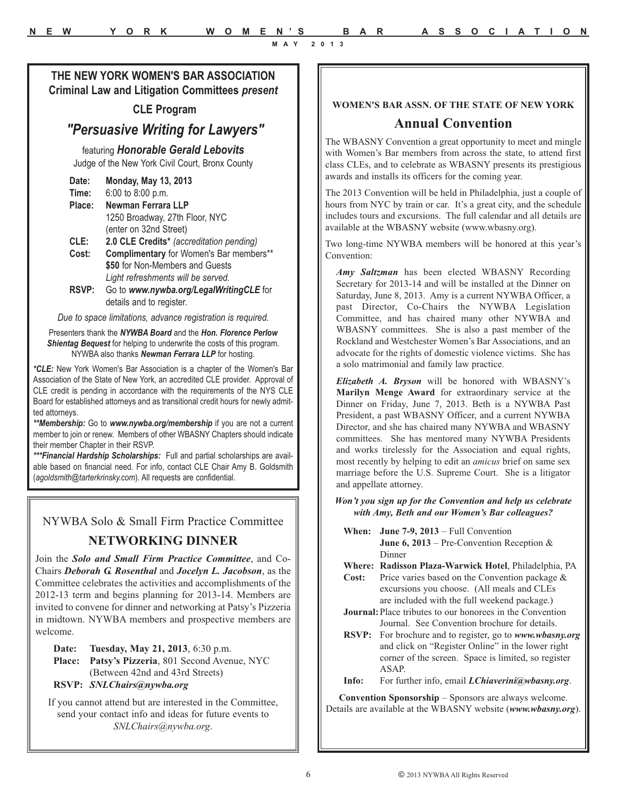#### **THE NEW YORK WOMEN'S BAR ASSOCIATION Criminal Law and Litigation Committees** *present*

#### **CLE Program**

### *"Persuasive Writing for Lawyers"*

featuring *Honorable Gerald Lebovits* Judge of the New York Civil Court, Bronx County

| Date:  | Monday, May 13, 2013                           |
|--------|------------------------------------------------|
| Time:  | 6:00 to 8:00 p.m.                              |
| Place: | Newman Ferrara LLP                             |
|        | 1250 Broadway, 27th Floor, NYC                 |
|        | (enter on 32nd Street)                         |
| CLE:   | 2.0 CLE Credits* (accreditation pending)       |
| Cost:  | <b>Complimentary</b> for Women's Bar members** |
|        | \$50 for Non-Members and Guests                |
|        | Light refreshments will be served.             |
| RSVP:  | Go to www.nywba.org/LegalWritingCLE for        |
|        | details and to register.                       |

*Due to space limitations, advance registration is required.*

Presenters thank the *NYWBA Board* and the *Hon. Florence Perlow Shientag Bequest* for helping to underwrite the costs of this program. NYWBA also thanks *Newman Ferrara LLP* for hosting.

*\*CLE:* New York Women's Bar Association is a chapter of the Women's Bar Association of the State of New York, an accredited CLE provider. Approval of CLE credit is pending in accordance with the requirements of the NYS CLE Board for established attorneys and as transitional credit hours for newly admitted attorneys.

*\*\*Membership:* Go to *www.nywba.org/membership* if you are not a current member to join or renew. Members of other WBASNY Chapters should indicate their member Chapter in their RSVP.

*\*\*\*Financial Hardship Scholarships:* Full and partial scholarships are available based on financial need. For info, contact CLE Chair Amy B. Goldsmith (*agoldsmith@tarterkrinsky.com*). All requests are confidential.

### NYWBA Solo & Small Firm Practice Committee

#### **NETWORKING DINNER**

Join the *Solo and Small Firm Practice Committee*, and Co-Chairs *Deborah G. Rosenthal* and *Jocelyn L. Jacobson*, as the Committee celebrates the activities and accomplishments of the 2012-13 term and begins planning for 2013-14. Members are invited to convene for dinner and networking at Patsy's Pizzeria in midtown. NYWBA members and prospective members are welcome.

**Date: Tuesday, May 21, 2013**, 6:30 p.m. **Place: Patsy's Pizzeria**, 801 Second Avenue, NYC (Between 42nd and 43rd Streets) **RSVP:** *SNLChairs@nywba.org* 

If you cannot attend but are interested in the Committee, send your contact info and ideas for future events to *SNLChairs@nywba.org*.

#### **WOMEN'S BAR ASSN. OF THE STATE OF NEW YORK**

#### **Annual Convention**

The WBASNY Convention a great opportunity to meet and mingle with Women's Bar members from across the state, to attend first class CLEs, and to celebrate as WBASNY presents its prestigious awards and installs its officers for the coming year.

The 2013 Convention will be held in Philadelphia, just a couple of hours from NYC by train or car. It's a great city, and the schedule includes tours and excursions. The full calendar and all details are available at the WBASNY website (www.wbasny.org).

Two long-time NYWBA members will be honored at this year's Convention:

*Amy Saltzman* has been elected WBASNY Recording Secretary for 2013-14 and will be installed at the Dinner on Saturday, June 8, 2013. Amy is a current NYWBA Officer, a past Director, Co-Chairs the NYWBA Legislation Committee, and has chaired many other NYWBA and WBASNY committees. She is also a past member of the Rockland and Westchester Women's Bar Associations, and an advocate for the rights of domestic violence victims. She has a solo matrimonial and family law practice.

*Elizabeth A. Bryson* will be honored with WBASNY's **Marilyn Menge Award** for extraordinary service at the Dinner on Friday, June 7, 2013. Beth is a NYWBA Past President, a past WBASNY Officer, and a current NYWBA Director, and she has chaired many NYWBA and WBASNY committees. She has mentored many NYWBA Presidents and works tirelessly for the Association and equal rights, most recently by helping to edit an *amicus* brief on same sex marriage before the U.S. Supreme Court. She is a litigator and appellate attorney.

#### *Won't you sign up for the Convention and help us celebrate with Amy, Beth and our Women's Bar colleagues?*

- **When: June 7-9, 2013** Full Convention **June 6, 2013** – Pre-Convention Reception & Dinner
- **Where: Radisson Plaza-Warwick Hotel**, Philadelphia, PA
- **Cost:** Price varies based on the Convention package & excursions you choose. (All meals and CLEs are included with the full weekend package.)
- **Journal:**Place tributes to our honorees in the Convention Journal. See Convention brochure for details.
- **RSVP:** For brochure and to register, go to *www.wbasny.org* and click on "Register Online" in the lower right corner of the screen. Space is limited, so register ASAP.
- **Info:** For further info, email *LChiaverini@wbasny.org*.

**Convention Sponsorship** – Sponsors are always welcome. Details are available at the WBASNY website (*www.wbasny.org*).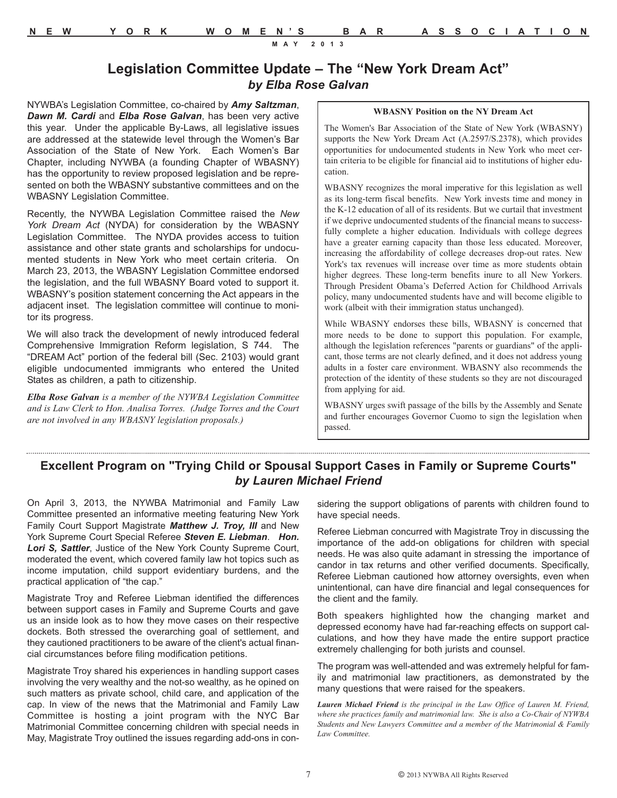### **Legislation Committee Update – The "New York Dream Act"** *by Elba Rose Galvan*

NYWBA's Legislation Committee, co-chaired by *Amy Saltzman*, *Dawn M. Cardi* and *Elba Rose Galvan*, has been very active this year. Under the applicable By-Laws, all legislative issues are addressed at the statewide level through the Women's Bar Association of the State of New York. Each Women's Bar Chapter, including NYWBA (a founding Chapter of WBASNY) has the opportunity to review proposed legislation and be represented on both the WBASNY substantive committees and on the WBASNY Legislation Committee.

Recently, the NYWBA Legislation Committee raised the *New York Dream Act* (NYDA) for consideration by the WBASNY Legislation Committee. The NYDA provides access to tuition assistance and other state grants and scholarships for undocumented students in New York who meet certain criteria. On March 23, 2013, the WBASNY Legislation Committee endorsed the legislation, and the full WBASNY Board voted to support it. WBASNY's position statement concerning the Act appears in the adjacent inset. The legislation committee will continue to monitor its progress.

We will also track the development of newly introduced federal Comprehensive Immigration Reform legislation, S 744. The "DREAM Act" portion of the federal bill (Sec. 2103) would grant eligible undocumented immigrants who entered the United States as children, a path to citizenship.

*Elba Rose Galvan is a member of the NYWBA Legislation Committee and is Law Clerk to Hon. Analisa Torres. (Judge Torres and the Court are not involved in any WBASNY legislation proposals.)*

#### **WBASNY Position on the NY Dream Act**

The Women's Bar Association of the State of New York (WBASNY) supports the New York Dream Act (A.2597/S.2378), which provides opportunities for undocumented students in New York who meet certain criteria to be eligible for financial aid to institutions of higher education.

WBASNY recognizes the moral imperative for this legislation as well as its long-term fiscal benefits. New York invests time and money in the K-12 education of all of its residents. But we curtail that investment if we deprive undocumented students of the financial means to successfully complete a higher education. Individuals with college degrees have a greater earning capacity than those less educated. Moreover, increasing the affordability of college decreases drop-out rates. New York's tax revenues will increase over time as more students obtain higher degrees. These long-term benefits inure to all New Yorkers. Through President Obama's Deferred Action for Childhood Arrivals policy, many undocumented students have and will become eligible to work (albeit with their immigration status unchanged).

While WBASNY endorses these bills, WBASNY is concerned that more needs to be done to support this population. For example, although the legislation references "parents or guardians" of the applicant, those terms are not clearly defined, and it does not address young adults in a foster care environment. WBASNY also recommends the protection of the identity of these students so they are not discouraged from applying for aid.

WBASNY urges swift passage of the bills by the Assembly and Senate and further encourages Governor Cuomo to sign the legislation when passed.

### **Excellent Program on "Trying Child or Spousal Support Cases in Family or Supreme Courts"** *by Lauren Michael Friend*

On April 3, 2013, the NYWBA Matrimonial and Family Law Committee presented an informative meeting featuring New York Family Court Support Magistrate *Matthew J. Troy, III* and New York Supreme Court Special Referee *Steven E. Liebman*. *Hon. Lori S, Sattler*, Justice of the New York County Supreme Court, moderated the event, which covered family law hot topics such as income imputation, child support evidentiary burdens, and the practical application of "the cap."

Magistrate Troy and Referee Liebman identified the differences between support cases in Family and Supreme Courts and gave us an inside look as to how they move cases on their respective dockets. Both stressed the overarching goal of settlement, and they cautioned practitioners to be aware of the client's actual financial circumstances before filing modification petitions.

Magistrate Troy shared his experiences in handling support cases involving the very wealthy and the not-so wealthy, as he opined on such matters as private school, child care, and application of the cap. In view of the news that the Matrimonial and Family Law Committee is hosting a joint program with the NYC Bar Matrimonial Committee concerning children with special needs in May, Magistrate Troy outlined the issues regarding add-ons in considering the support obligations of parents with children found to have special needs.

Referee Liebman concurred with Magistrate Troy in discussing the importance of the add-on obligations for children with special needs. He was also quite adamant in stressing the importance of candor in tax returns and other verified documents. Specifically, Referee Liebman cautioned how attorney oversights, even when unintentional, can have dire financial and legal consequences for the client and the family.

Both speakers highlighted how the changing market and depressed economy have had far-reaching effects on support calculations, and how they have made the entire support practice extremely challenging for both jurists and counsel.

The program was well-attended and was extremely helpful for family and matrimonial law practitioners, as demonstrated by the many questions that were raised for the speakers.

*Lauren Michael Friend is the principal in the Law Office of Lauren M. Friend, where she practices family and matrimonial law. She is also a Co-Chair of NYWBA Students and New Lawyers Committee and a member of the Matrimonial & Family Law Committee.*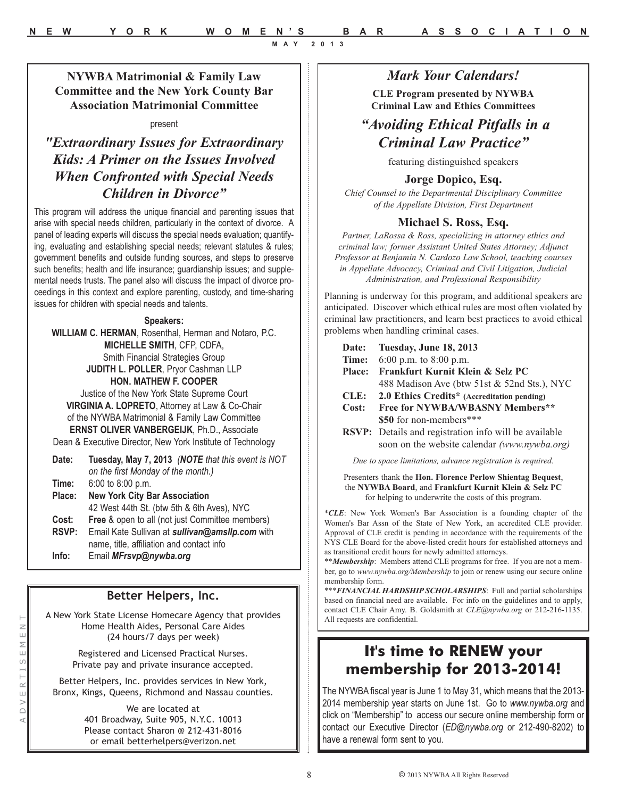### **NYWBA Matrimonial & Family Law Committee and the New York County Bar Association Matrimonial Committee**

#### present

*"Extraordinary Issues for Extraordinary Kids: A Primer on the Issues Involved When Confronted with Special Needs Children in Divorce"*

This program will address the unique financial and parenting issues that arise with special needs children, particularly in the context of divorce. A panel of leading experts will discuss the special needs evaluation; quantifying, evaluating and establishing special needs; relevant statutes & rules; government benefits and outside funding sources, and steps to preserve such benefits; health and life insurance; guardianship issues; and supplemental needs trusts. The panel also will discuss the impact of divorce proceedings in this context and explore parenting, custody, and time-sharing issues for children with special needs and talents.

#### **Speakers:**

**WILLIAM C. HERMAN**, Rosenthal, Herman and Notaro, P.C. **MICHELLE SMITH**, CFP, CDFA, Smith Financial Strategies Group **JUDITH L. POLLER**, Pryor Cashman LLP **HON. MATHEW F. COOPER** Justice of the New York State Supreme Court **VIRGINIA A. LOPRETO**, Attorney at Law & Co-Chair of the NYWBA Matrimonial & Family Law Committee

**ERNST OLIVER VANBERGEIJK**, Ph.D., Associate Dean & Executive Director, New York Institute of Technology

| Date:  | Tuesday, May 7, 2013 (NOTE that this event is NOT<br>on the first Monday of the month.) |
|--------|-----------------------------------------------------------------------------------------|
| Time:  | $6:00$ to $8:00$ p.m.                                                                   |
| Place: | <b>New York City Bar Association</b>                                                    |
|        | 42 West 44th St. (btw 5th & 6th Aves), NYC                                              |
| Cost:  | <b>Free &amp; open to all (not just Committee members)</b>                              |
| RSVP:  | Email Kate Sullivan at sullivan@amsllp.com with                                         |
|        | name, title, affiliation and contact info                                               |
| Info:  | Email MFrsvp@nywba.org                                                                  |
|        |                                                                                         |

# **Better Helpers, Inc.**

A New York State License Homecare Agency that provides Home Health Aides, Personal Care Aides (24 hours/7 days per week)

> Registered and Licensed Practical Nurses. Private pay and private insurance accepted.

Better Helpers, Inc. provides services in New York, Bronx, Kings, Queens, Richmond and Nassau counties.

> We are located at 401 Broadway, Suite 905, N.Y.C. 10013 Please contact Sharon @ 212-431-8016 or email betterhelpers@verizon.net

#### *Mark Your Calendars!*

**CLE Program presented by NYWBA Criminal Law and Ethics Committees**

### *"Avoiding Ethical Pitfalls in a Criminal Law Practice"*

featuring distinguished speakers

#### **Jorge Dopico, Esq.**

*Chief Counsel to the Departmental Disciplinary Committee of the Appellate Division, First Department*

#### **Michael S. Ross, Esq.**

*Partner, LaRossa & Ross, specializing in attorney ethics and criminal law; former Assistant United States Attorney; Adjunct Professor at Benjamin N. Cardozo Law School, teaching courses in Appellate Advocacy, Criminal and Civil Litigation, Judicial Administration, and Professional Responsibility*

Planning is underway for this program, and additional speakers are anticipated. Discover which ethical rules are most often violated by criminal law practitioners, and learn best practices to avoid ethical problems when handling criminal cases.

| Date:         | Tuesday, June 18, 2013                                                                                       |
|---------------|--------------------------------------------------------------------------------------------------------------|
| Time:         | 6:00 p.m. to 8:00 p.m.                                                                                       |
| <b>Place:</b> | Frankfurt Kurnit Klein & Selz PC                                                                             |
|               | 488 Madison Ave (btw 51st & 52nd Sts.), NYC                                                                  |
| CLE:          | 2.0 Ethics Credits* (Accreditation pending)                                                                  |
| Cost:         | Free for NYWBA/WBASNY Members**                                                                              |
|               | \$50 for non-members***                                                                                      |
|               | <b>RSVP:</b> Details and registration info will be available<br>soon on the website calendar (www.nywba.org) |
|               |                                                                                                              |

*Due to space limitations, advance registration is required.*

Presenters thank the **Hon. Florence Perlow Shientag Bequest**, the **NYWBA Board**, and **Frankfurt Kurnit Klein & Selz PC**  for helping to underwrite the costs of this program.

\**CLE*: New York Women's Bar Association is a founding chapter of the Women's Bar Assn of the State of New York, an accredited CLE provider. Approval of CLE credit is pending in accordance with the requirements of the NYS CLE Board for the above-listed credit hours for established attorneys and as transitional credit hours for newly admitted attorneys.

\*\**Membership*: Members attend CLE programs for free. If you are not a member, go to *www.nywba.org/Membership* to join or renew using our secure online membership form.

\*\*\**FINANCIAL HARDSHIP SCHOLARSHIPS*: Full and partial scholarships based on financial need are available. For info on the guidelines and to apply, contact CLE Chair Amy. B. Goldsmith at *CLE@nywba.org* or 212-216-1135. All requests are confidential.

### **It's time to RENEW your membership for 2013-2014!**

The NYWBA fiscal year is June 1 to May 31, which means that the 2013- 2014 membership year starts on June 1st. Go to *www.nywba.org* and click on "Membership" to access our secure online membership form or contact our Executive Director (*ED@nywba.org* or 212-490-8202) to have a renewal form sent to you.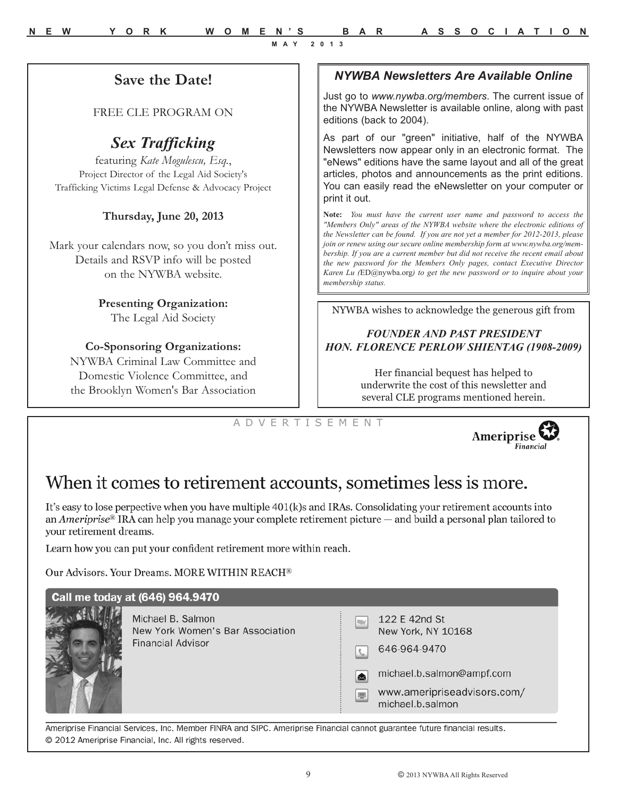### *NYWBA Newsletters Are Available Online*

Just go to *www.nywba.org/members*. The current issue of the NYWBA Newsletter is available online, along with past editions (back to 2004).

As part of our "green" initiative, half of the NYWBA Newsletters now appear only in an electronic format. The "eNews" editions have the same layout and all of the great articles, photos and announcements as the print editions. You can easily read the eNewsletter on your computer or print it out.

**Note:** *You must have the current user name and password to access the "Members Only" areas of the NYWBA website where the electronic editions of the Newsletter can be found. If you are not yet a member for 2012-2013, please join or renew using our secure online membership form at www.nywba.org/membership. If you are a current member but did not receive the recent email about the new password for the Members Only pages, contact Executive Director Karen Lu (*ED@nywba.org*) to get the new password or to inquire about your membership status.* 

NYWBA wishes to acknowledge the generous gift from

#### *FOUNDER AND PAST PRESIDENT HON. FLORENCE PERLOW SHIENTAG (1908-2009)*

Her financial bequest has helped to underwrite the cost of this newsletter and several CLE programs mentioned herein.

A D V E R T I S E M E N T



# When it comes to retirement accounts, sometimes less is more.

It's easy to lose perpective when you have multiple 401(k)s and IRAs. Consolidating your retirement accounts into an Ameriprise<sup>®</sup> IRA can help you manage your complete retirement picture  $-$  and build a personal plan tailored to your retirement dreams.

Learn how you can put your confident retirement more within reach.

Our Advisors. Your Dreams. MORE WITHIN REACH®

**Save the Date!**

FREE CLE PROGRAM ON

*Sex Trafficking*  featuring *Kate Mogulescu, Esq.*, Project Director of the Legal Aid Society's Trafficking Victims Legal Defense & Advocacy Project

**Thursday, June 20, 2013**

Mark your calendars now, so you don't miss out. Details and RSVP info will be posted on the NYWBA website.

> **Presenting Organization:** The Legal Aid Society

**Co-Sponsoring Organizations:**  NYWBA Criminal Law Committee and Domestic Violence Committee, and the Brooklyn Women's Bar Association

| Call me today at (646) 964.9470                                                   |              |                                                                                                                                     |
|-----------------------------------------------------------------------------------|--------------|-------------------------------------------------------------------------------------------------------------------------------------|
| Michael B. Salmon<br>New York Women's Bar Association<br><b>Financial Advisor</b> | [⊠<br>$\Box$ | 122 E 42nd St<br>New York, NY 10168<br>646-964-9470<br>michael.b.salmon@ampf.com<br>www.ameripriseadvisors.com/<br>michael.b.salmon |

Ameriprise Financial Services, Inc. Member FINRA and SIPC. Ameriprise Financial cannot guarantee future financial results. © 2012 Ameriprise Financial, Inc. All rights reserved.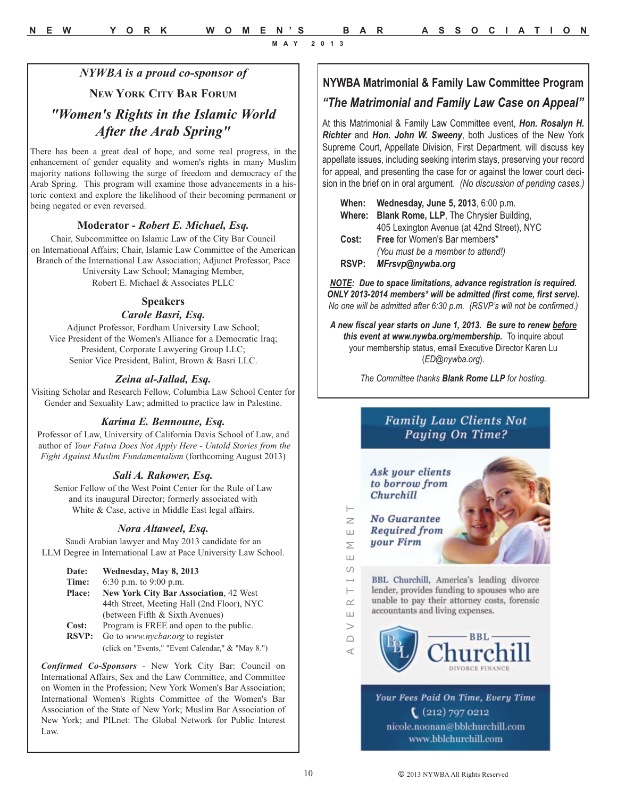#### *NYWBA is a proud co-sponsor of*

#### **NEW YORK CITY BAR FORUM**

### *"Women's Rights in the Islamic World After the Arab Spring"*

There has been a great deal of hope, and some real progress, in the enhancement of gender equality and women's rights in many Muslim majority nations following the surge of freedom and democracy of the Arab Spring. This program will examine those advancements in a historic context and explore the likelihood of their becoming permanent or being negated or even reversed.

#### **Moderator -** *Robert E. Michael, Esq.*

Chair, Subcommittee on Islamic Law of the City Bar Council on International Affairs; Chair, Islamic Law Committee of the American Branch of the International Law Association; Adjunct Professor, Pace University Law School; Managing Member, Robert E. Michael & Associates PLLC

#### **Speakers**

#### *Carole Basri, Esq.*

Adjunct Professor, Fordham University Law School; Vice President of the Women's Alliance for a Democratic Iraq; President, Corporate Lawyering Group LLC; Senior Vice President, Balint, Brown & Basri LLC.

#### *Zeina al-Jallad, Esq.*

Visiting Scholar and Research Fellow, Columbia Law School Center for Gender and Sexuality Law; admitted to practice law in Palestine.

#### *Karima E. Bennoune, Esq.*

Professor of Law, University of California Davis School of Law, and author of *Your Fatwa Does Not Apply Here - Untold Stories from the Fight Against Muslim Fundamentalism* (forthcoming August 2013)

#### *Sali A. Rakower, Esq.*

Senior Fellow of the West Point Center for the Rule of Law and its inaugural Director; formerly associated with White & Case, active in Middle East legal affairs.

#### *Nora Altaweel, Esq.*

Saudi Arabian lawyer and May 2013 candidate for an LLM Degree in International Law at Pace University Law School.

| Date:         | Wednesday, May 8, 2013                            |
|---------------|---------------------------------------------------|
| Time:         | 6:30 p.m. to 9:00 p.m.                            |
| <b>Place:</b> | <b>New York City Bar Association, 42 West</b>     |
|               | 44th Street, Meeting Hall (2nd Floor), NYC        |
|               | (between Fifth & Sixth Avenues)                   |
| Cost:         | Program is FREE and open to the public.           |
| <b>RSVP:</b>  | Go to <i>www.nycbar.org</i> to register           |
|               | (click on "Events," "Event Calendar," & "May 8.") |

*Confirmed Co-Sponsors* - New York City Bar: Council on International Affairs, Sex and the Law Committee, and Committee on Women in the Profession; New York Women's Bar Association; International Women's Rights Committee of the Women's Bar Association of the State of New York; Muslim Bar Association of New York; and PILnet: The Global Network for Public Interest Law.

### **NYWBA Matrimonial & Family Law Committee Program**

### *"The Matrimonial and Family Law Case on Appeal"*

At this Matrimonial & Family Law Committee event, *Hon. Rosalyn H. Richter* and *Hon. John W. Sweeny*, both Justices of the New York Supreme Court, Appellate Division, First Department, will discuss key appellate issues, including seeking interim stays, preserving your record for appeal, and presenting the case for or against the lower court decision in the brief on in oral argument. *(No discussion of pending cases.)*

| When:        | Wednesday, June 5, 2013, 6:00 p.m.             |
|--------------|------------------------------------------------|
|              | Where: Blank Rome, LLP, The Chrysler Building, |
|              | 405 Lexington Avenue (at 42nd Street), NYC     |
| Cost:        | Free for Women's Bar members*                  |
|              | (You must be a member to attend!)              |
| <b>RSVP:</b> | MFrsvp@nywba.org                               |

*NOTE: Due to space limitations, advance registration is required. ONLY 2013-2014 members\* will be admitted (first come, first serve). No one will be admitted after 6:30 p.m. (RSVP's will not be confirmed.)*

*A new fiscal year starts on June 1, 2013. Be sure to renew before this event at www.nywba.org/membership.* To inquire about your membership status, email Executive Director Karen Lu (*ED@nywba.org*).

*The Committee thanks Blank Rome LLP for hosting.*

### **Family Law Clients Not** Paying On Time?





Your Fees Paid On Time, Every Time  $(212)$  797 0212 nicole.noonan@bblchurchill.com www.bblchurchill.com

A D V E R T I S E M E N T

 $\longleftarrow$ 

 $\sim$ 

 $\sqcup$  $\overline{\phantom{0}}$  $\cap$ ⊄

 $\Box$ 

 $\geq$ 

Ш

Σ  $\Box$  $\overline{(\cap)}$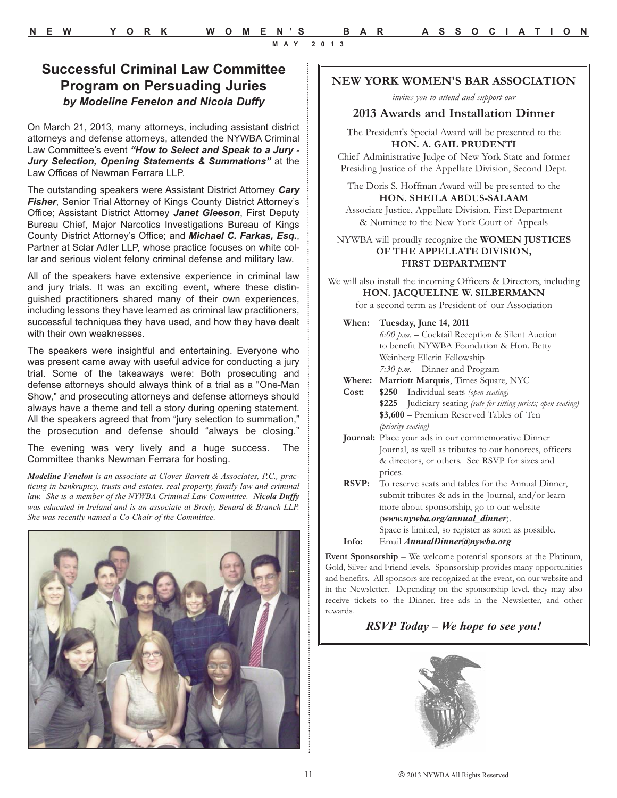### **Successful Criminal Law Committee Program on Persuading Juries** *by Modeline Fenelon and Nicola Duffy*

On March 21, 2013, many attorneys, including assistant district attorneys and defense attorneys, attended the NYWBA Criminal Law Committee's event *"How to Select and Speak to a Jury - Jury Selection, Opening Statements & Summations"* at the Law Offices of Newman Ferrara LLP.

The outstanding speakers were Assistant District Attorney *Cary* **Fisher**, Senior Trial Attorney of Kings County District Attorney's Office; Assistant District Attorney *Janet Gleeson*, First Deputy Bureau Chief, Major Narcotics Investigations Bureau of Kings County District Attorney's Office; and *Michael C. Farkas, Esq.*, Partner at Sclar Adler LLP, whose practice focuses on white collar and serious violent felony criminal defense and military law.

All of the speakers have extensive experience in criminal law and jury trials. It was an exciting event, where these distinguished practitioners shared many of their own experiences, including lessons they have learned as criminal law practitioners, successful techniques they have used, and how they have dealt with their own weaknesses.

The speakers were insightful and entertaining. Everyone who was present came away with useful advice for conducting a jury trial. Some of the takeaways were: Both prosecuting and defense attorneys should always think of a trial as a "One-Man Show," and prosecuting attorneys and defense attorneys should always have a theme and tell a story during opening statement. All the speakers agreed that from "jury selection to summation," the prosecution and defense should "always be closing."

The evening was very lively and a huge success. The Committee thanks Newman Ferrara for hosting.

*Modeline Fenelon is an associate at Clover Barrett & Associates, P.C., practicing in bankruptcy, trusts and estates. real property, family law and criminal law. She is a member of the NYWBA Criminal Law Committee. Nicola Duffy was educated in Ireland and is an associate at Brody, Benard & Branch LLP. She was recently named a Co-Chair of the Committee.*



#### **NEW YORK WOMEN'S BAR ASSOCIATION**

*invites you to attend and support our*

#### **2013 Awards and Installation Dinner**

The President's Special Award will be presented to the **HON. A. GAIL PRUDENTI**

Chief Administrative Judge of New York State and former Presiding Justice of the Appellate Division, Second Dept.

The Doris S. Hoffman Award will be presented to the **HON. SHEILA ABDUS-SALAAM**

Associate Justice, Appellate Division, First Department & Nominee to the New York Court of Appeals

NYWBA will proudly recognize the **WOMEN JUSTICES OF THE APPELLATE DIVISION, FIRST DEPARTMENT**

- We will also install the incoming Officers & Directors, including **HON. JACQUELINE W. SILBERMANN** for a second term as President of our Association
	- **When: Tuesday, June 14, 2011**  *6:00 p.m.* – Cocktail Reception & Silent Auction to benefit NYWBA Foundation & Hon. Betty Weinberg Ellerin Fellowship *7:30 p.m.* – Dinner and Program **Where: Marriott Marquis**, Times Square, NYC **Cost: \$250** – Individual seats *(open seating)* **\$225** – Judiciary seating *(rate for sitting jurists; open seating)* **\$3,600** – Premium Reserved Tables of Ten *(priority seating)* **Journal:** Place your ads in our commemorative Dinner Journal, as well as tributes to our honorees, officers & directors, or others. See RSVP for sizes and prices. **RSVP:** To reserve seats and tables for the Annual Dinner, submit tributes & ads in the Journal, and/or learn more about sponsorship, go to our website (*www.nywba.org/annual\_dinner*). Space is limited, so register as soon as possible.
	- **Info:** Email *AnnualDinner@nywba.org*

**Event Sponsorship** – We welcome potential sponsors at the Platinum, Gold, Silver and Friend levels. Sponsorship provides many opportunities and benefits. All sponsors are recognized at the event, on our website and in the Newsletter. Depending on the sponsorship level, they may also receive tickets to the Dinner, free ads in the Newsletter, and other rewards.

#### *RSVP Today – We hope to see you!*